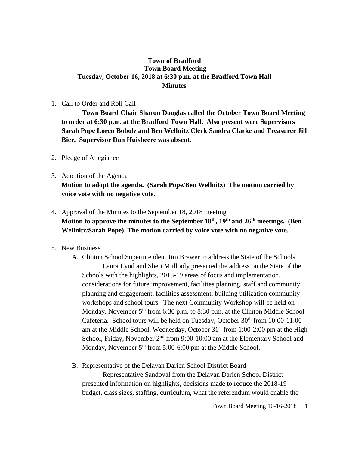## **Town of Bradford Town Board Meeting Tuesday, October 16, 2018 at 6:30 p.m. at the Bradford Town Hall Minutes**

## 1. Call to Order and Roll Call

**Town Board Chair Sharon Douglas called the October Town Board Meeting to order at 6:30 p.m. at the Bradford Town Hall. Also present were Supervisors Sarah Pope Loren Bobolz and Ben Wellnitz Clerk Sandra Clarke and Treasurer Jill Bier. Supervisor Dan Huisheere was absent.**

- 2. Pledge of Allegiance
- 3. Adoption of the Agenda **Motion to adopt the agenda. (Sarah Pope/Ben Wellnitz) The motion carried by voice vote with no negative vote.**
- 4. Approval of the Minutes to the September 18, 2018 meeting **Motion to approve the minutes to the September 18th, 19th and 26th meetings. (Ben Wellnitz/Sarah Pope) The motion carried by voice vote with no negative vote.**

## 5. New Business

- A. Clinton School Superintendent Jim Brewer to address the State of the Schools Laura Lynd and Sheri Mullooly presented the address on the State of the Schools with the highlights, 2018-19 areas of focus and implementation, considerations for future improvement, facilities planning, staff and community planning and engagement, facilities assessment, building utilization community workshops and school tours. The next Community Workshop will be held on Monday, November 5<sup>th</sup> from 6:30 p.m. to 8:30 p.m. at the Clinton Middle School Cafeteria. School tours will be held on Tuesday, October  $30<sup>th</sup>$  from  $10:00-11:00$ am at the Middle School, Wednesday, October 31<sup>st</sup> from 1:00-2:00 pm at the High School, Friday, November 2<sup>nd</sup> from 9:00-10:00 am at the Elementary School and Monday, November 5<sup>th</sup> from 5:00-6:00 pm at the Middle School.
- B. Representative of the Delavan Darien School District Board

Representative Sandoval from the Delavan Darien School District presented information on highlights, decisions made to reduce the 2018-19 budget, class sizes, staffing, curriculum, what the referendum would enable the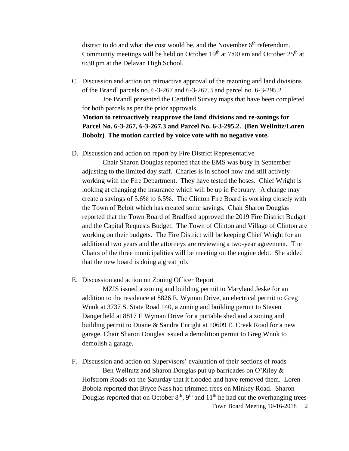district to do and what the cost would be, and the November  $6<sup>th</sup>$  referendum. Community meetings will be held on October  $19<sup>th</sup>$  at  $7:00$  am and October  $25<sup>th</sup>$  at 6:30 pm at the Delavan High School.

C. Discussion and action on retroactive approval of the rezoning and land divisions of the Brandl parcels no. 6-3-267 and 6-3-267.3 and parcel no. 6-3-295.2

Joe Brandl presented the Certified Survey maps that have been completed for both parcels as per the prior approvals.

## **Motion to retroactively reapprove the land divisions and re-zonings for Parcel No. 6-3-267, 6-3-267.3 and Parcel No. 6-3-295.2. (Ben Wellnitz/Loren Bobolz) The motion carried by voice vote with no negative vote.**

D. Discussion and action on report by Fire District Representative

Chair Sharon Douglas reported that the EMS was busy in September adjusting to the limited day staff. Charles is in school now and still actively working with the Fire Department. They have tested the hoses. Chief Wright is looking at changing the insurance which will be up in February. A change may create a savings of 5.6% to 6.5%. The Clinton Fire Board is working closely with the Town of Beloit which has created some savings. Chair Sharon Douglas reported that the Town Board of Bradford approved the 2019 Fire District Budget and the Capital Requests Budget. The Town of Clinton and Village of Clinton are working on their budgets. The Fire District will be keeping Chief Wright for an additional two years and the attorneys are reviewing a two-year agreement. The Chairs of the three municipalities will be meeting on the engine debt. She added that the new board is doing a great job.

E. Discussion and action on Zoning Officer Report

MZIS issued a zoning and building permit to Maryland Jeske for an addition to the residence at 8826 E. Wyman Drive, an electrical permit to Greg Wnuk at 3737 S. State Road 140, a zoning and building permit to Steven Dangerfield at 8817 E Wyman Drive for a portable shed and a zoning and building permit to Duane & Sandra Enright at 10609 E. Creek Road for a new garage. Chair Sharon Douglas issued a demolition permit to Greg Wnuk to demolish a garage.

Town Board Meeting 10-16-2018 2 F. Discussion and action on Supervisors' evaluation of their sections of roads Ben Wellnitz and Sharon Douglas put up barricades on O'Riley & Hofstrom Roads on the Saturday that it flooded and have removed them. Loren Bobolz reported that Bryce Nass had trimmed trees on Minkey Road. Sharon Douglas reported that on October  $8<sup>th</sup>$ , 9<sup>th</sup> and 11<sup>th</sup> he had cut the overhanging trees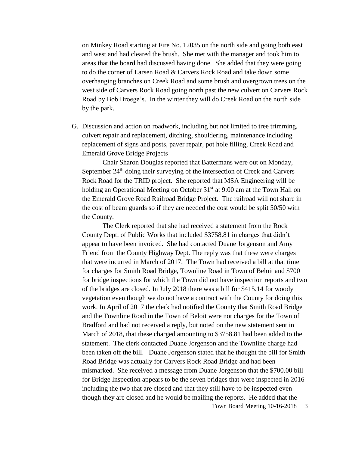on Minkey Road starting at Fire No. 12035 on the north side and going both east and west and had cleared the brush. She met with the manager and took him to areas that the board had discussed having done. She added that they were going to do the corner of Larsen Road & Carvers Rock Road and take down some overhanging branches on Creek Road and some brush and overgrown trees on the west side of Carvers Rock Road going north past the new culvert on Carvers Rock Road by Bob Broege's. In the winter they will do Creek Road on the north side by the park.

G. Discussion and action on roadwork, including but not limited to tree trimming, culvert repair and replacement, ditching, shouldering, maintenance including replacement of signs and posts, paver repair, pot hole filling, Creek Road and Emerald Grove Bridge Projects

Chair Sharon Douglas reported that Battermans were out on Monday, September  $24<sup>th</sup>$  doing their surveying of the intersection of Creek and Carvers Rock Road for the TRID project. She reported that MSA Engineering will be holding an Operational Meeting on October 31<sup>st</sup> at 9:00 am at the Town Hall on the Emerald Grove Road Railroad Bridge Project. The railroad will not share in the cost of beam guards so if they are needed the cost would be split 50/50 with the County.

Town Board Meeting 10-16-2018 3 The Clerk reported that she had received a statement from the Rock County Dept. of Public Works that included \$3758.81 in charges that didn't appear to have been invoiced. She had contacted Duane Jorgenson and Amy Friend from the County Highway Dept. The reply was that these were charges that were incurred in March of 2017. The Town had received a bill at that time for charges for Smith Road Bridge, Townline Road in Town of Beloit and \$700 for bridge inspections for which the Town did not have inspection reports and two of the bridges are closed. In July 2018 there was a bill for \$415.14 for woody vegetation even though we do not have a contract with the County for doing this work. In April of 2017 the clerk had notified the County that Smith Road Bridge and the Townline Road in the Town of Beloit were not charges for the Town of Bradford and had not received a reply, but noted on the new statement sent in March of 2018, that these charged amounting to \$3758.81 had been added to the statement. The clerk contacted Duane Jorgenson and the Townline charge had been taken off the bill. Duane Jorgenson stated that he thought the bill for Smith Road Bridge was actually for Carvers Rock Road Bridge and had been mismarked. She received a message from Duane Jorgenson that the \$700.00 bill for Bridge Inspection appears to be the seven bridges that were inspected in 2016 including the two that are closed and that they still have to be inspected even though they are closed and he would be mailing the reports. He added that the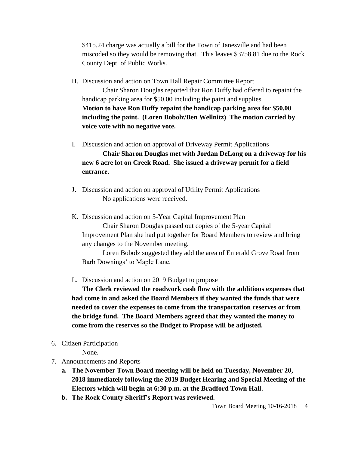\$415.24 charge was actually a bill for the Town of Janesville and had been miscoded so they would be removing that. This leaves \$3758.81 due to the Rock County Dept. of Public Works.

H. Discussion and action on Town Hall Repair Committee Report

Chair Sharon Douglas reported that Ron Duffy had offered to repaint the handicap parking area for \$50.00 including the paint and supplies. **Motion to have Ron Duffy repaint the handicap parking area for \$50.00 including the paint. (Loren Bobolz/Ben Wellnitz) The motion carried by voice vote with no negative vote.**

I. Discussion and action on approval of Driveway Permit Applications

**Chair Sharon Douglas met with Jordan DeLong on a driveway for his new 6 acre lot on Creek Road. She issued a driveway permit for a field entrance.**

J. Discussion and action on approval of Utility Permit Applications No applications were received.

K. Discussion and action on 5-Year Capital Improvement Plan Chair Sharon Douglas passed out copies of the 5-year Capital Improvement Plan she had put together for Board Members to review and bring any changes to the November meeting.

Loren Bobolz suggested they add the area of Emerald Grove Road from Barb Downings' to Maple Lane.

L. Discussion and action on 2019 Budget to propose

**The Clerk reviewed the roadwork cash flow with the additions expenses that had come in and asked the Board Members if they wanted the funds that were needed to cover the expenses to come from the transportation reserves or from the bridge fund. The Board Members agreed that they wanted the money to come from the reserves so the Budget to Propose will be adjusted.**

6. Citizen Participation

None.

- 7. Announcements and Reports
	- **a. The November Town Board meeting will be held on Tuesday, November 20, 2018 immediately following the 2019 Budget Hearing and Special Meeting of the Electors which will begin at 6:30 p.m. at the Bradford Town Hall.**
	- **b. The Rock County Sheriff's Report was reviewed.**